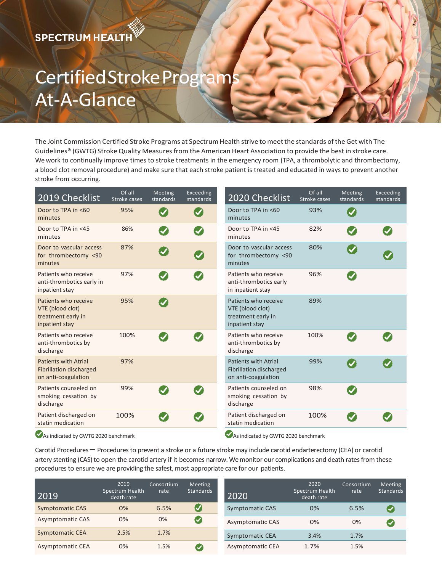## Certified Stroke Program At-A-Glance

The Joint Commission Certified Stroke Programs at Spectrum Health strive to meet the standards of the Get with The Guidelines® (GWTG) Stroke Quality Measures from the American Heart Association to provide the best in stroke care. We work to continually improve times to stroke treatments in the emergency room (TPA, a thrombolytic and thrombectomy, a blood clot removal procedure) and make sure that each stroke patient is treated and educated in ways to prevent another stroke from occurring.

| 2019 Checklist                                                                       | Of all<br>Stroke cases | Meeting<br>standards       | Exceeding<br>standards | 2020 Checklist                                                                       | Of all<br>Stroke cases | Meeting<br>standards       | Exceeding<br>standards |
|--------------------------------------------------------------------------------------|------------------------|----------------------------|------------------------|--------------------------------------------------------------------------------------|------------------------|----------------------------|------------------------|
| Door to TPA in <60<br>minutes                                                        | 95%                    | $\boldsymbol{\mathcal{N}}$ | $\bullet$              | Door to TPA in <60<br>minutes                                                        | 93%                    | $\blacktriangledown$       |                        |
| Door to TPA in <45<br>minutes                                                        | 86%                    | Ø                          | $\boldsymbol{\omega}$  | Door to TPA in <45<br>minutes                                                        | 82%                    | Ø                          |                        |
| Door to vascular access<br>for thrombectomy <90<br>minutes                           | 87%                    | $\blacktriangledown$       | $\boldsymbol{Q}$       | Door to vascular access<br>for thrombectomy <90<br>minutes                           | 80%                    | $\blacktriangledown$       |                        |
| Patients who receive<br>anti-thrombotics early in<br>inpatient stay                  | 97%                    | Ø                          | $\boldsymbol{\omega}$  | Patients who receive<br>anti-thrombotics early<br>in inpatient stay                  | 96%                    | $\checkmark$               |                        |
| Patients who receive<br>VTE (blood clot)<br>treatment early in<br>inpatient stay     | 95%                    | $\blacktriangledown$       |                        | Patients who receive<br>VTE (blood clot)<br>treatment early in<br>inpatient stay     | 89%                    |                            |                        |
| Patients who receive<br>anti-thrombotics by<br>discharge                             | 100%                   | $\blacktriangledown$       |                        | Patients who receive<br>anti-thrombotics by<br>discharge                             | 100%                   | $\boldsymbol{J}$           |                        |
| <b>Patients with Atrial</b><br><b>Fibrillation discharged</b><br>on anti-coagulation | 97%                    |                            |                        | <b>Patients with Atrial</b><br><b>Fibrillation discharged</b><br>on anti-coagulation | 99%                    | $\boldsymbol{\mathcal{U}}$ |                        |
| Patients counseled on<br>smoking cessation by<br>discharge                           | 99%                    | $\boldsymbol{\mathcal{S}}$ |                        | Patients counseled on<br>smoking cessation by<br>discharge                           | 98%                    | $\boldsymbol{\mathcal{S}}$ |                        |
| Patient discharged on<br>statin medication                                           | 100%                   |                            |                        | Patient discharged on<br>statin medication<br>$\bullet$                              | 100%                   |                            |                        |

As indicated by GWTG 2020 benchmark As indicated by GWTG 2020 benchmark

Carotid Procedures – Procedures to prevent a stroke or a future stroke may include carotid endarterectomy (CEA) or carotid artery stenting (CAS) to open the carotid artery if it becomes narrow. We monitor our complications and death rates from these procedures to ensure we are providing the safest, most appropriate care for our patients.

| 2019                   | 2019<br>Spectrum Health<br>death rate | Consortium<br>rate | Meeting<br>Standards | 2020                    | 2020<br>Spectrum Health<br>death rate | Consortium<br>rate | <b>Meeting</b><br>Standards |
|------------------------|---------------------------------------|--------------------|----------------------|-------------------------|---------------------------------------|--------------------|-----------------------------|
| <b>Symptomatic CAS</b> | 0%                                    | 6.5%               |                      | <b>Symptomatic CAS</b>  | 0%                                    | 6.5%               |                             |
| Asymptomatic CAS       | 0%                                    | $0\%$              | Ø                    | <b>Asymptomatic CAS</b> | 0%                                    | 0%                 |                             |
| <b>Symptomatic CEA</b> | 2.5%                                  | 1.7%               |                      | Symptomatic CEA         | 3.4%                                  | 1.7%               |                             |
| Asymptomatic CEA       | 0%                                    | 1.5%               |                      | Asymptomatic CEA        | 1.7%                                  | 1.5%               |                             |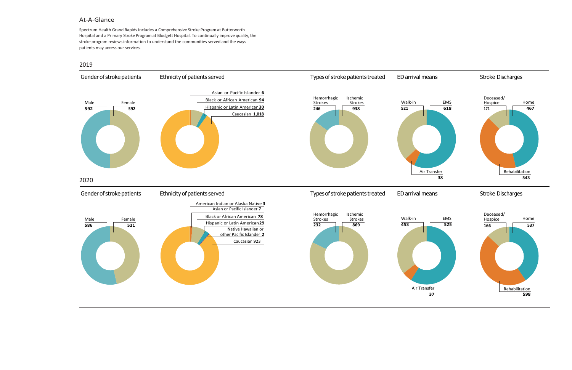## At-A-Glance

Spectrum Health Grand Rapids includes a Comprehensive Stroke Program at Butterworth Hospital and a Primary Stroke Program at Blodgett Hospital. To continually improve quality, the stroke program reviews information to understand the communities served and the ways patients may access our services.

## 2019